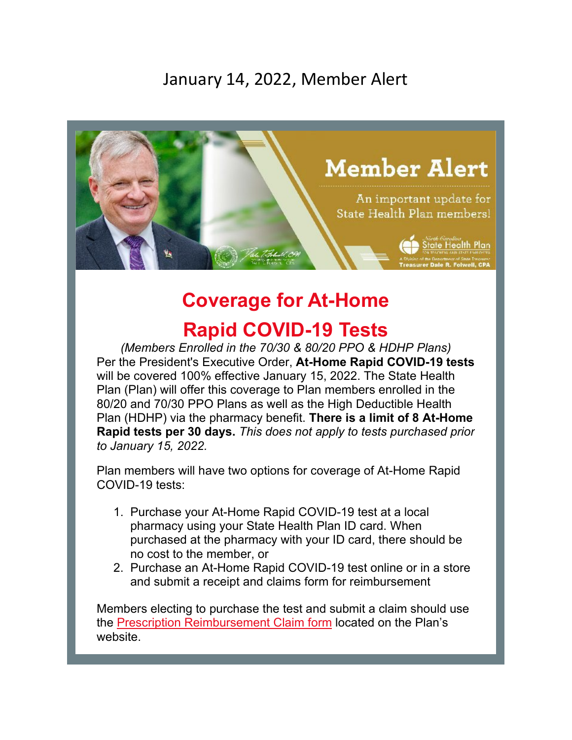## January 14, 2022, Member Alert



## **Coverage for At-Home**

## **Rapid COVID-19 Tests**

*(Members Enrolled in the 70/30 & 80/20 PPO & HDHP Plans)* Per the President's Executive Order, **At-Home Rapid COVID-19 tests** will be covered 100% effective January 15, 2022. The State Health Plan (Plan) will offer this coverage to Plan members enrolled in the 80/20 and 70/30 PPO Plans as well as the High Deductible Health Plan (HDHP) via the pharmacy benefit. **There is a limit of 8 At-Home Rapid tests per 30 days.** *This does not apply to tests purchased prior to January 15, 2022.*

Plan members will have two options for coverage of At-Home Rapid COVID-19 tests:

- 1. Purchase your At-Home Rapid COVID-19 test at a local pharmacy using your State Health Plan ID card. When purchased at the pharmacy with your ID card, there should be no cost to the member, or
- 2. Purchase an At-Home Rapid COVID-19 test online or in a store and submit a receipt and claims form for reimbursement

Members electing to purchase the test and submit a claim should use the [Prescription Reimbursement Claim form](https://www.shpnc.org/media/613/download?utm_source=iContact&utm_medium=email&utm_campaign=state-health-plan&utm_content=Member+Alert+-+Coverage+for+At-Home+Rapid+COVID-19) located on the Plan's website.